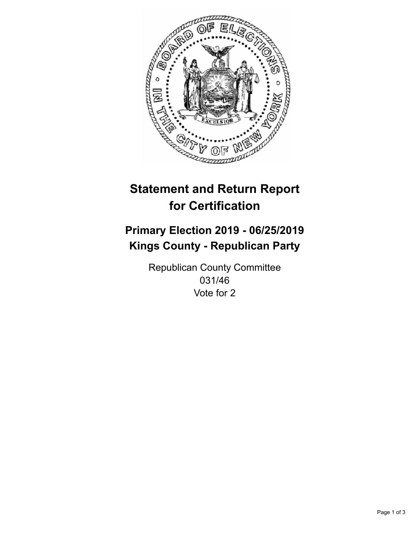

## **Statement and Return Report for Certification**

## **Primary Election 2019 - 06/25/2019 Kings County - Republican Party**

Republican County Committee 031/46 Vote for 2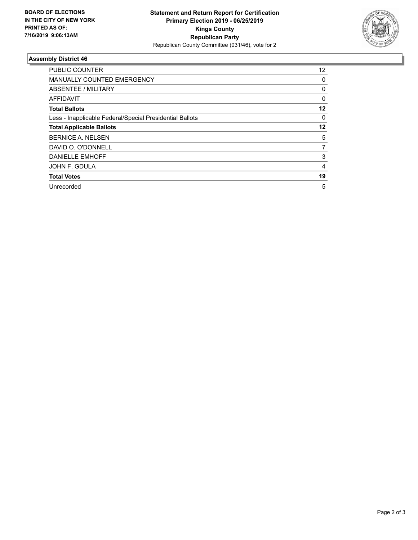

## **Assembly District 46**

| <b>PUBLIC COUNTER</b>                                    | $12 \overline{ }$ |
|----------------------------------------------------------|-------------------|
| <b>MANUALLY COUNTED EMERGENCY</b>                        | 0                 |
| ABSENTEE / MILITARY                                      | 0                 |
| AFFIDAVIT                                                | 0                 |
| <b>Total Ballots</b>                                     | 12                |
| Less - Inapplicable Federal/Special Presidential Ballots | 0                 |
| <b>Total Applicable Ballots</b>                          | 12                |
| <b>BERNICE A. NELSEN</b>                                 | 5                 |
| DAVID O. O'DONNELL                                       | 7                 |
| <b>DANIELLE EMHOFF</b>                                   | 3                 |
| JOHN F. GDULA                                            | 4                 |
| <b>Total Votes</b>                                       | 19                |
| Unrecorded                                               | 5                 |